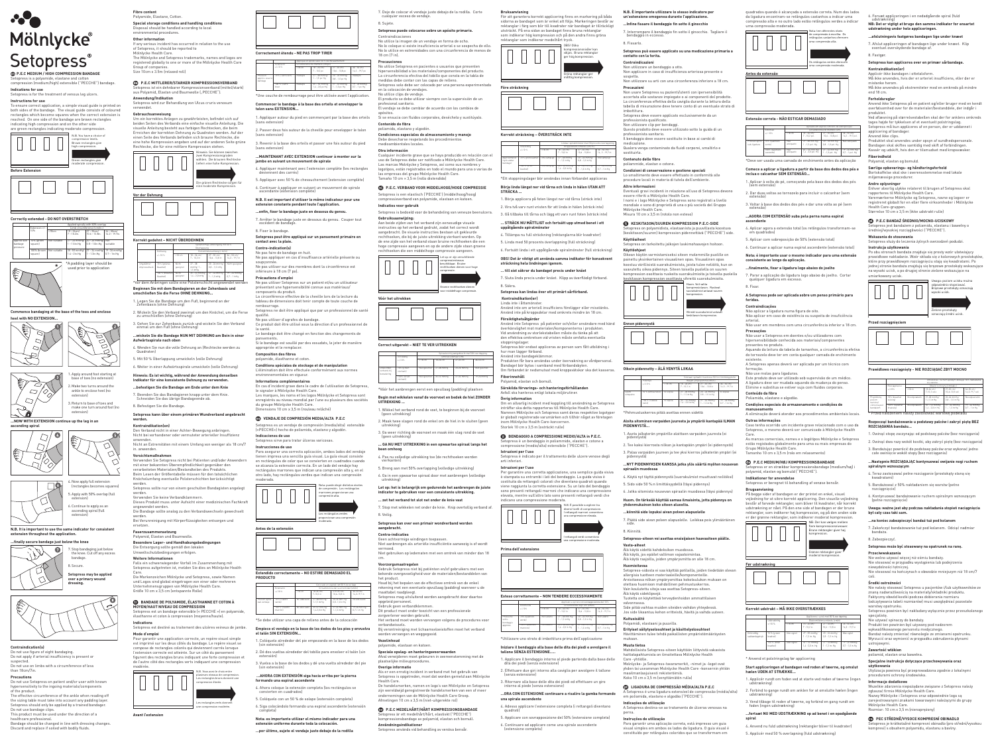**Fibre content** Polyamide, Elastane, Cotton.

**Special storage conditions and handling conditions** Disposal should be handled according to local environmental procedures.

**Other information** If any serious incident has occurred in relation to the use

#### of Setopress, it should be reported to Mölnlycke Health Care.

The Mölnlycke and Setopress trademarks, names and logos are registered globally to one or more of the Mölnlycke Health Care

Group of companies. Size 10cm x 3.5m (relaxed roll)

#### E**P.E.C MITTLERER/STARKER KOMPRESSIONSVERBAND** oress ist ein dehnbarer Komp aus Polyamid, Elastan und Baumwolle ("PECCHE").

**Anwendung/Indikation**  Setopress wird zur Behandlung von Ulcus cruris venosum

## verwendet.

**Gebrauchsanweisung**  Um ein korrektes Anlegen zu gewährleisten, befindet sich auf beiden Seiten des Verbands eine einfache visuelle Anleitung. Die visuelle Anleitung besteht aus farbigen Rechtecken, die beim Erreichen der korrekten Dehnung zu Quadraten werden. Auf der einen Seite des Verbands befinden sich braune Rechtecke, die eine hohe Kompression angeben und auf der anderen Seite grüne Rechtecke, die für eine mittlere Kompression stehen.





\*Vor dem Anbringen sollte eine Polsterschicht angewendet werden **Beginnen Sie mit dem Bandagieren an der Zehenbasis und** 

Dieses Produkt muss unter Aufsicht einer medizinischen Fachkraft endet werden

- **umschließen Sie die Ferse OHNE DEHNUNG...**
- 1. Legen Sie die Bandage um den Fuß, beginnend an der Zehenbasis (ohne Dehnung)
- 2. Wickeln Sie den Verband zweimal um den Knöchel, um die Ferse zu umschließen (ohne Dehnung)

Die Entsorgung sollte gemäß den lokalen ltschutzbedingungen erfolgen

## 3. Gehen Sie zur Zehenbasis zurück und wickeln Sie den Verband einmal um den Fuß (ohne Dehnung)

**...wickeln Sie die Bandage NUN MIT DEHNUNG am Bein in einer** 

## **C**BANDAGE DE POLYAMIDE, ÉLASTHANNE ET COTON À **MOYEN/HAUT NIVEAU DE COMPRESSION**

- **Aufwärtsspirale nach oben** 4. Wenden Sie nun die volle Dehnung an (Rechtecke werden zu
- Quadraten) 5. Mit 50 % Überlappung umwickeln (volle Dehnung)
- 6. Weiter in einer Aufwärtsspirale umwickeln (volle Dehnung)

#### **Hinweis: Es ist wichtig, während der Anwendung denselben Indikator für eine konsistente Dehnung zu verwenden. ...befestigen Sie die Bandage am Ende unter dem Knie**

- 7. Beenden Sie das Bandagieren knapp unter dem Knie. Schneiden Sie das übrige Bandageende ab.
- 8. Befestigen Sie die Bandage.
- **Setopress kann über einem primären Wundverband angebracht werden.**

## **Kontraindikation(en)**

Den Verband nicht in einer Achter-Bewegung anbringen. Nicht bei vorhandener oder vermuteter arterieller Insuffizienz anwenden. Nicht an Extremitäten mit einem Umfang von weniger als 18 cm/7

#### in. anwenden. **Vorsichtsmaßnahmen**

#### **N.B. It is important to use the same indicator for consister extension throughout the application.**

 $\bigcirc$  $\subset$  $\bigcirc$ 

Verwenden Sie Setopress nicht bei Patienten und/oder Anwendern mit einer bekannten Überempfindlichkeit gegenüber den verarbeiteten Materialien/Bestandteilen des Produkts. Beim Lesen der Größentabelle müssen für den tatsächlichen Knöchelumfang eventuelle Polsterschichten berücksichtigt werden.

Setopress sollte nur von einem geschulten Bandagisten angelegt werden. Verwenden Sie keine Verbandklammern.

Do not use bandage clips This product must be used under the direction of a

healthcare profess Bandage should be changed in line with dressing changes. Die Bandage sollte analog zu den Verbandswechseln gewechselt

werden. Bei Verunreinigung mit Körperflüssigkeiten entsorgen und ersetzen.

#### **Faserzusammensetzung** Polyamid, Elastan und Baumwolle.

**Besondere Lager- und Handhabungsbedingungen**

**Weitere Informationen** Falls ein schwerwiegender Vorfall im Zusammenhang mit Setopress aufgetreten ist, melden Sie dies an Mölnlycke Health

Care. Die Markenzeichen Mölnlycke und Setopress, sowie Namen und Logos sind global eingetragen von einer oder mehreren Unternehmensgruppen von Mölnlycke Health Care.

Größe 10 cm x 3,5 cm (entspannte Rolle)

Setopress est un bandage extensible (« PECCHE ») en polyamide, élasthanne et coton à compression (moyenne/haute). **Indications** 

Setopress est destiné au traitement des ulcères veineux de jambe. **Mode d'emploi** 

e pas faire de bandage en huit. Ne pas appliquer en cas d'insuffisance artérielle présente ou soupçonnée.

Pour garantir une application correcte, un repère visuel simple est imprimé sur les deux côtés du bandage. Le repère visuel se compose de rectangles colorés qui devier l'extension correcte est atteinte. Sur un côté du pansement

figurent des rectangles bruns indiquant une forte compression et de l'autre côté des rectangles verts indiquant une compression modérée. N.B. Vous avez le choix entre

appropriée et le remplace **Composition des fibres** polyamide, élasthanne et coton.



L'élimination doit être effectuée confo environnementales en vigueur. **Informations complémentaires**

Les rectangles verts donnent une compression modérée.

**Avant l'extension**



# Mölnlycke® Setopress®

#### G**P.E.C MEDIUM / HIGH COMPRESSION BANDAGE** Setopress is a polyamide, elastane and cotton compression (medium/high) extensible ("PECCHE") bandage.

 $\frac{1}{2}$ ions 10 cm x 3,5 m (rouleau relâché) **GB** VENDAJE DE COMPRESIÓN MEDIA/ALTA P.E.C Setopress es un vendaje de compresión (media/alta) extensible («PECCHE») hecho de poliamida, elastano y algodón.

**Indications for use** Setopress is for the treatment of venous leg ulcers.

**Instructions for use**  To ensure correct application, a simple visual guide is printed on both sides of the bandage. The visual guide consists of coloured rectangles which become squares when the correct extension is reached. On one side of the bandage are brown rectangles indicating high compression and on the other side

> Nota: puede elegir distintos niveles de compresión. Los rectángulos marrones proporcionan una esión alta.

## **Correctly extended - DO NOT OVERSTRETCH**

## **Commence bandaging at the base of the toes and enclose**





**...NOW WITH EXTENSION continue up the leg in an** 



## **...finally secure bandage just below the knee**

## **Contraindication(s)**

Do not use figure of eight bandaging. Do not apply if arterial insufficiency is present or suspected. Do not use on limbs with a circumference of less

## than 18cm/7in.

lo utilice la imagen de un vendaje en forma de ocho. No lo coloque si existe insuficiencia arterial o se sospecha de ello. No lo utilice en extremidades con una circunferencia de menos de



**Precautions** Do not use Setopress on patient and/or user with known hypersensitivity to the ingoing materials/components

of the product. The effective circumference of the ankle when reading off the sizing table must take into account any padding layer. Setopress should only be applied by a trained bandager.

**Condiciones especiales de almacenamiento y manejo** Debe desecharse respetando los procedimie mediantales locales<br>Shientales locales

Discard and replace if soiled with bodily fluids.

empresas del grupo Molnlycke Health Care Tamaño 10 cm × 3,5 m (rollo distendido)

1. Apply around foot starting at base of toes (no extension) 2. Make two turns around the ankle to enclose heel (no extension)

3. Return to base of toes and make one turn around foot (no

extension)



Let op: er zijn verschillende compressieniveaus beschikbaar. Bruine rechthoeken dienen voor hoge compressie.

6. Continue to apply as an





**Setopress may be applied over a primary wound dressing.**



## **Correctement étendu - NE PAS TROP TIRER**

**Let op: het is belangrijk om gedurende het aanbrengen de juiste indicator te gebruiken voor een consistente uitrekking. ... zet het verband tot slot net onder de knie v** 

#### **Commencer le bandage à la base des orteils et envelopper le talon sans EXTENSION...**

1. Appliquer autour du pied en commençant par la base des orteils

(sans extension) 2. Passer deux fois autour de la cheville pour envelopper le talon

(sans extension) 3. Revenir à la base des orteils et passer une fois autour du pied

### (sans extension) **...MAINTENANT AVEC EXTENSION continuer à monter sur la**

**jambe en suivant un mouvement de spirale**

4. Appliquer maintenant avec l'extension complète (les rectangles deviennent des carrés)

- 5. Appliquer avec 50 % de chevauchement (extension complète)
- 6. Continuer à appliquer en suivant un mouvement de spirale ascendante (extension complète)

#### **N.B. Il est important d'utiliser le même indicateur pour une extension constante pendant toute l'application.**

**...enfin, fixer le bandage juste en dessous du genou.**

## 7. Arrêter le bandage juste en dessous du genou. Couper tout excédent de bandage. 8. Fixer le bandage.

**Setopress peut être appliqué sur un pansement primaire en contact avec la plaie.**

## **Contre-indication(s)**

För att garantera korrekt applicering finns en markering på båda sidorna av bandaget som är enkel att följa. Markeringen består av rektanglar i färg som blir till kvadrater när bandaget är tillräckligt utsträckt. På ena sidan av bandaget finns bruna rektanglar som indikerar hög kompression och på den andra finns gröna

Ne pas utiliser sur des membres dont la circonférence est inférieure à 18 cm (7 po).

## **Précautions d'emploi**

Ne pas utiliser Setopress sur un patient et/ou un utilisateur présentant une hypersensibilité connue aux matériaux/ composants du produit.

La circonférence effective de la cheville lors de la lecture du tableau de dimensions doit tenir compte de toute couche de

rembourrage. Setopress ne doit être appliqué que par un professionnel de santé qualifié.

Ne pas utiliser d'agrafes de bandage. Ce produit doit être utilisé sous la direction d'un professionnel de la santé.

 **Kontraindikation(er)** Linda inte i åttamönste

Le bandage doit être changé en fonction des changements de pansements. Si le bandage est souillé par des exsudats, le jeter de manière

> hur man lägger förband. Använd inte bandageklämmo

**Conditions spéciales de stockage et de manipulation**

En cas d'incident grave dans le cadre de l'utilisation de Setopress, le signaler à Mölnlycke Health Care. Les marques, les noms et les logos Mölnlycke et Setopress sont enregistrés au niveau mondial par l'une ou plusieurs des sociétés du groupe Mölnlycke Health Care.

> etopress è un bendaggio in poliammide, elastan e cotone a compressione (medio/alta) estensibile ("PECCHE").

**Indicaciones de uso** 

Setopress sirve para tratar úlceras varicosas.

**Instrucciones de uso** 

Para asegurar una correcta aplicación, ambos lados del vendaje tienen impresa una sencilla guía visual. La guía visual consiste en rectángulos de color que se convierten en cuadrados cuando se alcanza la extensión correcta. En un lado del vendaje hay rectángulos marrones que indican una compresión alta y, en el otro lado, hay rectángulos verdes que indican una compresión

moderada.

Los rectángulos verdes proporcionan una compresión

moderada.

**Antes de la extensión**

**Extendido correctamente – NO ESTIRE DEMASIADO EL** 

**PRODUCTO**

\*Se debe utilizar una capa de relleno antes de la colocación **Empiece el vendaje en la base de los dedos de los pies y envuelva** 

**el talón SIN EXTENSIÓN...**

1. Colóquelo alrededor del pie empezando en la base de los dedos

(sin extensión)

2. Dé dos vueltas alrededor del tobillo para envolver el talón (sin

extensión)

3. Vuelva a la base de los dedos y dé una vuelta alrededor del pie

(sin extensión)

**formando una espiral ascendent** 

 **…AHORA CON EXTENSIÓN siga hacia arriba por la pierna** 

sostituirlo **Contenuto delle fibre**

## nide, elastan e cotone.

4. Ahora coloque la extensión completa (los rectángulos se convierten en cuadrados) 5. Colóquelo con un 50 % de solape (extensión completa)

6. Siga colocándolo formando una espiral ascendente (extensión completa) **Nota: es importante utilizar el mismo indicador para una extensión uniforme durante toda la colocación. …por último, sujete el vendaje justo debajo de la rodilla**

#### opress on polyamidista, elastaanista ja puuvillasta koostuv ,<br>«keskitavien) kompression pidennettävä ("PECCHE") side. **Käyttöaiheet**

**Käyttöohjeet**  kean käytön varmistamiseksi siteen molemmille puolille or painettu yksinkertainen visuaalinen opas. Visuaalinen opas koostuu värillisistä suorakulmioista, joista tulee neliöitä, kun on saavutettu oikea pidennys. Siteen toisella puolella on suuren katetta siitsa piestiirjel sitti.<br>Ipression osoittavia ruskeita suorakulmioita ja toisella puolella

7. Deje de colocar el vendaje justo debajo de la rodilla. Corte

cualquier exceso de vendaje.

8. Sujete.

**Setopress puede colocarse sobre un apósito primario.** 

Contraindicaciones

18 cm (7 in). **Precauciones**

No utilice Setopress en pacientes o usuarios que presenten hipersensibilidad a los materiales/componentes del producto. La circunferencia efectiva del tobillo que consta en la tabla de

medidas debe contar con las capas de relleno.

Setopress solo debe ser colocado por una persona experimentada

en la colocación de vendajes. No utilice clips de vendaje.

El producto se debe utilizar siempre con la supervisión de un

profesional sanitario.

El vendaje se debe cambiar de acuerdo con los cambios de

apósitos.

Si se ensucia con fluidos corporales, deséchelo y sustitúyalo.

**Contenido de fibra** poliamida, elastano y algodón.

> täminen tulee tehdä paikallisten ympäristömääräysten mukaan.

**Otra información**

Cualquier incidente grave que se haya producido en relación con el uso de Setopress debe ser notificado a Mölnlycke Health Care. Las marcas Molnlycke y Setopress, así como sus nombres y logotipos, están registrados en todo el mundo para una o varias de

U**P.E.C. VERBAND VOOR MIDDELHOGE/HOGE COMPRESSIE** Setopress is een elastisch ('PECCHE') (middelhoog/hoog) compressieverband van polyamide, elastaan en katoen.

**Indicaties voor gebruik** 

Setopress is bedoeld voor de behandeling van veneuze beenulcera.

**Gebruiksaanwijzing:** 

Aan beide zijden van het verband zijn eenvoudige visuele instructies op het verband gedrukt, zodat het correct wordt aangebracht. De visuele instructies bestaan uit gekleurde rechthoeken, die bij de juiste uitrekking vierkant worden. Op de ene zijde van het verband staan bruine rechthoeken die een hoge compressie aangeven en op de andere zijde staan groene rechthoeken die een middelhoge compressie aangeven.

> Groene rechthoeken dienen voor middelhoge compressie.

**Vóór het uitrekken**

**Correct uitgerekt – NIET TE VER UITREKKEN**

Aquando da leitura da tabela de tamanhos, a circunferência efetiva do tornozelo deve ter em conta qualquer camada de enchimento

\*Vóór het aanbrengen eerst een opvullaag (padding) plaatsen **Begin met wikkelen vanaf de voorvoet en bedek de hiel ZONDER** 

**UITREKKING ...**

1. Wikkel het verband rond de voet, te beginnen bij de voorvoet

(geen uitrekking)

2. Maak twee slagen rond de enkel om de hiel in te sluiten (geen

uitrekking)

3. Ga weer richting de voorvoet en maak één slag rond de voet (geen uitrekking) **... GA NU MET UITREKKING in een opwaartse spiraal langs het** 

**been omhoog**

4. Pas nu volledige uitrekking toe (de rechthoeken worden

vierkanten)

etopress er en strækbar kom polyamid, elastan og bomuld ("PECCHE").

5. Breng aan met 50% overlapping (volledige uitrekking) 6. Ga in een opwaartse spiraal door met aanbrengen (volledige

uitrekking)

7. Stop met wikkelen net onder de knie. Knip overtollig verband af.

8. Veilig.

**Setopress kan over een primair wondverband worden** 

**aangebracht. Contra-indicaties**

> **Omtrentlic** subbandagetryk

Tamanho 10 cm x 3,5 m (rolo em relaxament

Geen achtvormige windingen toepassen.

Niet aanbrengen als arteriële insufficiëntie aanwezig is of wordt

vermoed.

Niet gebruiken op ledematen met een omtrek van minder dan 18

cm.

**Voorzorgsmaatregelen**

## 3. Vend tilbage til roden af tæerne, og forbind en gang rundt om foden (ingen udstræki

Gebruik Setopress niet bij patiënten en/of gebruikers met een bekende overgevoeligheid voor de materialen/bestanddelen van

het product.

Houd bij het bepalen van de effectieve omtrek van de enkel rekening met een eventuele opvullaag (padding) wanneer u de

maattabel raadpleegt.

orgverlener worden gebruikt.

Setopress mag uitsluitend worden aangebracht door daartoe

opgeleid personeel. Gebruik geen verbandklemmen.

Dit product moet onder toezicht van een professionele

Het verband moet worden vervangen volgens de procedures voor

verbandwissels.

Bij verontreiniging met lichaamsvloeistoffen moet het verband

worden vervangen en weggegooid.

**Vezelinhoud**

polyamide, elastaan en katoen.

Produktet skal anvendes under opsyn af sundhedspersonale. Bandagen skal skiftes samtidig med skift af forbindingen. Kassér og udskift, hvis den er tilsmudset med kropsvæske

**Speciale opslag- en hanteringsvoorwaarden**

Afval verwijderen moet gebeuren in overeenstemming met de

plaatselijke milieuprocedures. **Overige informatie**

Bortige eperatoristem<br>Bortskaffelse skal ske i overen miljømæssige procedurer. **Andre oplysninger**

Als er een ernstig incident in verband met het gebruik van Setopress is opgetreden, moet dat worden gemeld aan Mölnlycke

Health Care.

De handelsmerken, namen en logo's van Mölnlycke en Setopress zijn wereldwijd geregistreerde handelsmerken van een of meer ondernemingen van de Mölnlycke Health Care Groep.

Afmetingen 10 cm x 3,5 m (niet-uitgerekte rol)

e**P.E.C MEDELHÅRT/HÅRT KOMPRESSIONSBANDAGE** etopress är ett medelhårt/hårt, elastiskt ("PECCHE") kompressionsbandage av polyamid, elastan och bomull.

**Användningsindikationer**

Setopress används vid behandling av venösa bensår.

**Bruksanvisning**

1. Owinąć stopę zaczynając od podstawy palców (bez rozciągania 2. Owinąć dwa razy wokół kostki, aby zakryć piętę (bez rozciągania) 3. Bandażując powrócić do podstawy palców oraz wykonać jedno całe owinięcie wokół stopy (bez rozciągania) **…Następnie ROZCIĄGAJĄC kontynuować owijanie nogi ruchem** 

rektanglar som indikerar medelhårt tryck. OBS! Olika kompressionsnivåer kan väljas. Bruna rektanglar ger hög kompression.



Nie wolno używać więcej niż ośmiu bandaż Nie stosować w przypadku wystąpienia lub podejrzenia

**Före sträckning**

## **Korrekt sträckning – ÖVERSTRÄCK INTE**

\*Ett stoppningslager bör användas innan förbandet appliceras **Börja linda längst ner vid tårna och linda in hälen UTAN ATT** 

**STRÄCKA ...**

1. Börja applicera på foten längst ner vid tårna (sträck inte) 2. Vira två varv runt vristen för att linda in hälen (sträck inte) 3. Gå tillbaka till tårna och lägg ett varv runt foten (sträck inte)

**… STRÄCK NU MÅTTLIGT och fortsätt upp utmed benet i ett** 

**uppåtgående spiralmönster**

4. Tillämpa nu full sträckning (rektanglarna blir kvadrater) 5. Linda med 50 procents överlappning (full sträckning)

6. Fortsätt linda i ett uppåtgående spiralmönster (full sträckning)

**OBS! Det är viktigt att använda samma indikator för konsekvent** 

**sträckning hela lindningen igenom.**

#### **… till sist säkrar du bandaget precis under knäet** 7. Sluta linda precis under knäet. Klipp av överflödigt förband.

8. Säkra.

**Setopress kan lindas över ett primärt sårförband.**

Använd inte om arteriell insufficiens föreligger eller misstänks. Använd inte på kroppsdelar med omkrets mindre än 18 cm.

**Försiktighetsåtgärder**

Använd inte Setopress på patienter och/eller användare med känd överkänslighet mot materialen/komponenterna i produkten. Vid användning av storlekstabellen måste du tänka på att den effektiva omkretsen vid vristen måste omfatta eventuella

stoppningslager.

Setopress bör endast appliceras av person som fått utbildning i



Produkten får bara användas under övervakning av vårdpersonal. Bandaget bör bytas i samband med förbandsbyten. Om förbandet är nedsmutsat med kroppsvätskor ska det kasseras.

**Fiberinnehåll**

Polyamid, elastan och bomull.

### **Särskilda förvarings- och hanteringsförhållanden** Avfall ska hanteras enligt lokala miljörutiner.

om en allvarlig incident med koppling till användning av Setopress inträffar ska detta rapporteras till Mölnlycke Health Care. Namnen Mölnlycke och Setopress samt deras respektive logotyp är globalt registrerade varumärken och tillhör något av företagen <sub>.</sub><br>cke Health Care-koncer

**Övrig information**

Non adatto 27 - 38 mm Hg/ 1 - 1,5 in Hg

**Contract Contract** 

## Storlek 10 cm x 3,5 m (osträckt rulle) O**BENDAGGIO A COMPRESSIONE MEDIO/ALTA in P.E.C.**

**Istruzioni per l'uso**

Setopress è indicato per il trattamento delle ulcere venose degli

arti inferiori. **Istruzioni per l'uso** 

Per garantire una corretta applicazione, una semplice guida visiva è stampata su entrambi i lati del bendaggio. La guida visiva è costituita da rettangoli colorati che diventano quadrati quando

viene raggiunta la corretta estensione. Su un lato del bendaggio sono presenti rettangoli marroni che indicano una compressione elevata, mentre sull'altro lato sono presenti rettangoli verdi che

indicano una compressione moderata.  $\overline{\phantom{a}}$  N.B. È possibile s diversi livelli di compressione.

I rettangoli marroni consentono una compressione elevata.





**Prima dell'estensione**

## **Esteso correttamente – NON TENDERE ECCESSIVAMENTE**

\*Utilizzare uno strato di imbottitura prima dell'applicazione **Iniziare il bendaggio alla base delle dita dei piedi e avvolgere il** 

**tallone SENZA ESTENSIONE…..**

1. Applicare il bendaggio intorno al piede partendo dalla base delle dita dei piedi (senza estensione)

2. Effettuare due giri intorno alla caviglia per avvolgere il tallone (senza estensione)

## 3. Ritornare alla base delle dita dei piedi ed effettuare un giro

**...ORA CON ESTENSIONE continuare a risalire la gamba formando** 

**una spirale ascendente**

4. Adesso applicare l'estensione completa (i rettangoli diventano quadrati)

5. Applicare con sovrapposizione del 50% (estensione completa) 6. Continuare ad applicare come una spirale ascendente

#### **N.B. È importante utilizzare lo stesso indicatore per un'estensione omogenea durante l'applicazione.**

**...Infine fissare il bendaggio fin sotto il ginocchio**

7. Interrompere il bendaggio fin sotto il ginocchio. Tagliare il bendaggio in eccesso.

## 8. Fissarlo.

**Setopress può essere applicato su una medicazione primaria a contatto con la ferita.**

## **Controindicazioni**

Non utilizzare un bendaggio a otto. Non applicare in caso di insufficienza arteriosa presente o sospetta. Non utilizzare su arti con una circonferenza inferiore a 18 cm.

## **Precauzioni**

Non usare Setopress su pazienti/utenti con ipersensibilità accertata alle sostanze impiegate o ai componenti del prodotto. La circonferenza effettiva della caviglia durante la lettura della tabella di misurazione deve tenere conto di un eventuale strato di imbottitura.

|                                        |                       | Appliqué en spirale avec 50 % dechevauchement |                                    |                                    |                                   |  |  |
|----------------------------------------|-----------------------|-----------------------------------------------|------------------------------------|------------------------------------|-----------------------------------|--|--|
|                                        | Extension<br>$+/-10%$ |                                               | Circonférence du membre (cm/po)    |                                    |                                   |  |  |
|                                        |                       | < 18 cm                                       | $18 - 26$ cm/<br>$7 - 10,2$ po     | $27 - 35$ cm/<br>$10.6 - 13.8$ po  | $36 - 50$ cm/<br>$14.2 - 19.7$ po |  |  |
| Pression<br>approx, sous le<br>bandage | 70 % I carré vertl    | Inadapté                                      | 27 - 38 mmHg/<br>1 - 1.5 po Hg     | 20 - 26 mmHa/<br>$0.8 - 1.0$ po Ha | Inadapté                          |  |  |
|                                        | 100 % (carré<br>hrun  | Inadapté                                      | $35 - 50$ mmHa/<br>1.4 - 2.0 po Hg | 27 - 34 mmHa/<br>$1 - 1.3$ po $Ha$ | 19 - 26 mmHql<br>$0.7 - 1$ po Ha  |  |  |

#### Setopress deve essere applicato esclusivamente da un professionista qualificato.

Non utilizzare clip per bendaggi. Questo prodotto deve essere utilizzato sotto la guida di un professionista sanitario.

Il bendaggio deve essere sostituito in base ai cambi di medicazione. Qualora venga contaminato da fluidi corporei, smaltirlo e

**Condizioni di conservazione e gestione speciali** Lo smaltimento deve essere effettuato in conformità alle procedure locali in materia di tutela dell'ambiente.

**Altre informazioni** Eventuali gravi incidenti in relazione all'uso di Setopress devono essere riferiti a Mölnlycke Health Care. I nomi e i logo Mölnlycke e Setopress sono registrati a livello

mondiale e sono di proprietà di una o più società del Gruppo Mölnlycke Health Care. Misura 10 cm x 3,5 m (rotolo non esteso)

## **G** KESKITASON/SUUREN KOMPRESSION P.E.C-SIDE

## Setopress on tarkoitettu jalkojen laskimohaavojen hoitoon.





keskitason kompression osoittavia vihreitä suorakulmioita. uom. Voit valita kompressiotason. Ruskeat suorakulmiot antavat suuren kompression. Vihreät suorakulmiot antavat keskitason kompression. **Ennen pidennystä**

## **Oikein pidennetty – ÄLÄ VENYTÄ LIIKAA**

\*Pehmustuskerros pitää asettaa ennen sidettä

#### **Aloita sitominen varpaiden juuresta ja ympäröi kantapää ILMAN PIDENNYSTÄ…**

1. Aseta jalkaterän ympärille aloittaen varpaiden juuresta (ei pidennystä)

2. Tee kaksi kierrosta nilkan ja kantapään ympäri (ei pidennystä) 3. Palaa varpaiden juureen ja tee yksi kierros jalkaterän ympäri (ei pidennystä)

## **…NYT PIDENNYKSEN KANSSA jatka ylös säärtä myöten nousevan**

**spiraalin muodossa** 4. Käytä nyt täyttä pidennystä (suorakulmiot muuttuvat neliöiksi)

- 5. Sido side 50 %:n limittäisyydellä (täysi pidennys)
- 6. Jatka sitomista nousevan spiraalin muodossa (täysi pidennys)

**Huom. On tärkeää käyttää samaa ilmaisinta, jotta pidennys on** 

### **yhdenmukainen koko siteen alueelta. …kiinnitä side lopuksi aivan polven alapuolelle**

7. Päätä side aivan polven alapuolelle. Leikkaa pois ylimääräinen side.

## 8. Kiinnitä.

**Setopress-siteen voi asettaa ensisijaisen haavasiteen päälle.**

#### **Vasta-aiheet** Älä käytä sidettä kahdeksikon muodossa.

Älä käytä, jos epäilet valtimon vajaatoimintaa. Älä käytä raajoilla, joiden ympärysmitta on alle 18 cm. **Huomioitavaa** Setopress-sidosta ei saa käyttää potilailla, joiden tiedetään olevan allergisia tuotteen materiaaleille/komponenteille. Arvioitaessa nilkan ympärysmittaa kokotaulukon mukaan on

#### otettava huomioon mahdollinen pehmustuskerros. Vain koulutettu sitoja saa asettaa Setopress-siteen.

Älä käytä sideklipsejä. Tuotetta on käytettävä terveydenhoidon ammattilaisen

## valvonnassa. Side pitää vaihtaa muiden siteiden vaihdon yhteydessä.

Jos side likaantuu kehon eritteistä, hävitä ja vaihda uuteen. **Kuitusisältö**

Polyamidi, elastaani ja puuvilla.

## **Erityiset säilytysolosuhteet ja käsittelyolosuhteet**

#### **Muuta tietoa** Mahdollisista Setopress-siteen käyttöön liittyvistä vakavista

haittatapahtumista on ilmoitettava Mölnlycke Health Care -yhtiölle. Molnlycke- ja Setopress-tavaramerkit, -nimet ja -logot ovat

yhden tai useamman Molnlycke Health Care -konsernin yhtiön aailmanlaajuisesti rekisteröimiä. Koko 10 cm x 3,5 m (venyttämätön rulla)

## X**LIGADURA DE COMPRESSÃO MÉDIA/ALTA P.E.C**

A Setopress é uma ligadura extensível de compressão (média/alta) em poliamida, elastano e algodão ("PECCHE"). **Indicações de utilização**

A Setopress destina-se ao tratamento de úlceras venosas na

perna.

**Instruções de utilização**  Para garantir uma aplicação correta, está impresso um guia visual simples em ambos os lados da ligadura. O guia visual é constituído por retângulos coloridos que se transformam em

quadrados quando é alcançada a extensão correta. Num dos lados da ligadura encontram-se retângulos castanhos a indicar uma compressão alta e no outro lado estão retângulos verdes a indicar uma compressão moderada.



## **Extensão correta - NÃO ESTICAR DEMASIADO**

\*Deve ser usada uma camada de enchimento antes da aplicação **Comece a aplicar a ligadura a partir da base dos dedos dos pés e** 

**inclua o calcanhar SEM EXTENSÃO...**

1. Aplicar à volta do pé, começando pela base dos dedos dos pés

(sem extensão)

2. Dar duas voltas ao tornozelo para incluir o calcanhar (sem

extensão)

3. Voltar à base dos dedos dos pés e dar uma volta ao pé (sem extensão) **...AGORA COM EXTENSÃO suba pela perna numa espiral** 

**ascendente**

4. Aplicar agora a extensão total (os retângulos transformam-se em quadrados)

5. Aplicar com sobreposição de 50% (extensão total) 6. Continuar a aplicar numa espiral ascendente (extensão total) **Nota: é importante usar o mesmo indicador para uma extensão** 

**consistente ao longo da aplicação.**

.<br>· ligadura em exc

**...finalmente, fixar a ligadura logo abaixo do joelho** 7. Parar a aplicação da ligadura logo abaixo do joelho. Cortar

8. Fixar.

**A Setopress pode ser aplicada sobre um penso primário para** 

**feridas. Contraindicações**

Não aplicar a ligadura numa figura de oito.

Não aplicar em caso de existência ou suspeita de insuficiência

arterial.

Não usar em membros com uma circunferência inferior a 18 cm.

**Precauções**

Não usar a Setopress em doentes e/ou utilizadores com hipersensibilidade conhecida aos materiais/componentes

presentes no produto.

existente.

A Setopress apenas deverá ser aplicada por um técnico com

formação.

Não use molas para ligaduras.

Este produto deve ser utilizado sob supervisão de um médico. A ligadura deve ser mudada aquando da mudança do penso. Elimine e substitua se estiver suja com fluidos corporais.

**Conteúdo da fibra** Poliamida, elastano e algodão.

**Condições especiais de armazenamento e condições de** 

**manuseamento**

A eliminação deverá atender aos procedimentos ambientais locais.

**Outras informações**

Caso tenha ocorrido um incidente grave relacionado com o uso da Setopress, o mesmo deverá ser comunicado à Mölnlycke Health

Care.

As marcas comerciais, nomes e o logótipos Mölnlycke e Setopress estão registados globalmente para uma ou mais empresas do

**CD P.E.C MEDIUM/HØJ KOMPRESSIONSBANDAGE**<br>Setopress er en strækbar kompressionsbandage (medium/høil i

Grupo Mölnlycke Health Care.

**Indikationer for anvendelse**

Setopress er beregnet til behandling af venøse bensår.

**Brugsanvisning** 

På begge sider af bandagen er der printet en enkel, visuel vejledning for at sikre korrekt applicering. Den visuelle vejledning består af farvede rektangler, som bliver til kvadrater, når korrekt udstrækning er nået. På den ene side af bandagen er der brune rektangler, som indikerer høj kompression, og på den anden side er der grønne rektangler, som indikerer moderat kompression.

> B: Der kan vælges mellem flere kompressionsniveauer. Brune rektangler giver høj ompressio

Grønne rektangler giver moderat kompression.

**Før udstrækning**

**Korrekt udstrakt – MÅ IKKE OVERSTRÆKKES**

Appliceres i spiral med 50 % ove rlapning

Udstrækning +/-10 %

Ekstremitetens omkreds (cm/in)

<18 cm 18 - 26 cm/ 7 - 10,2 in

27 - 35 cm/ 10,6 - 13,8 in 36 - 50 cm/ 14,2 - 19,7 in

70 % (g røen kvadrat)

Ikke egnet 27 - 38 mmHg/ 1 - 1,5 in. Hg

20 - 26 mmHg/ 0,8 - 1,0 in. Hg

Ikke egnet

100 % (brun kvadrat)

Ikke egnet 35 – 50 mmHg/ 1,4 - 2,0 in. Hg

27 - 34 mmHg/ 1 - 1,3 in. Hg

19 - 26 mmHg/ 0,7 - 1,0 in.Hg

\* Anvend et polstringslag før applicering

**Start appliceringen af bandagen ved roden af tæerne, og omslut** 

**hælen UDEN AT STRÆKKE...**

1. Applicér rundt om foden ved at starte ved roden af tæerne (ingen

udstrækning)

2. Forbind to gange rundt om anklen for at omslutte hælen (ingen udstrækning)

## **...fortsæt NU MED UDSTRÆKNING op ad benet i en opadgående spiral**

4. Anvend nu fuld udstrækning (rektangler bliver til kvadrater) 5. Applicér med 50 % overlapning (fuld udstrækning)

6. Forsæt appliceringen i en nedadgående spiral (fuld udstrækning) **NB: Det er vigtigt at bruge den samme indikator for ensartet** 

**udstrækning under hele appliceringen.**

**...afslutningsvis fastgøres bandagen lige under knæet** 7. Afslut appliceringen af bandagen lige under knæet. Klip eventuel overskydende bandage af.

8. Fastgør.

**Setopress kan appliceres over en primær sårbandage.**

**Kontraindikation(er)**

Applicér ikke bandagen i ottetalsform.

Må ikke anvendes, hvis der er arteriel insufficiens, eller der er

mistanke herom.

Må ikke anvendes på ekstremiteter med en omkreds på mindre

end 18 cm. **Forholdsregler**

Anvend ikke Setopress på en patient og/eller bruger med en kendt overfølsomhed over for de materialer/bestanddele, der indgår i

produktet.

Ved aflæsning på størrelsestabellen skal der for anklens omkreds tages højde for tykkelsen af et eventuelt polstringslag. Setopress må kun appliceres af en person, der er uddannet i

applicering af bandager. Anvend ikke clips.

Polyamid, elastan og bomule

**Fiberindhold**

**Særlige opbevarings- og håndteringsforhold**

Enhver alvorlig ulykke relateret til brugen af Setopress skal

rapporteres til Mölnlycke Health Care.

Varemærkerne Mölnlycke og Setopress, navne og logoer er registreret globalt for en eller flere virksomheder i Mölnlycke

Health Care-gruppen.

Størrelse 10 cm x 3,5 m (ikke udstrakt rulle) W**P.E.C BANDAŻ ŚREDNIO/MOCNO-UCISKOWY** Setopress jest bandażem z poliamidu, elastanu i bawełny o

średniej/wysokiej rozciągliwości ("PECCHE").

**Wskazania do stosowania**

Setopress służy do leczenia żylnych owrzodzeń podudzi.

**Instrukcja użytkowania** 

miarkowany ucisl

Po obu stronach bandaża znajduje się prosty wzór ułatwiający prawidłowe nakładanie. Wzór składa się z kolorowych prostokątów, które przy prawidłowym rozciągnięciu stają się kwadratami. Po jednej stronie bandaża znajdują się brązowe prostokąty wskazujące na wysoki ucisk, a po drugiej stronie zielone wskazujące na

> Uwaga: poziom ucisku można odpowiednio stopniować. Brązowe prostokąty oznaczają wysoki ucisk.

Zielone prostokąty oznaczają średni ucisk.

**Przed rozciągnięciem**

**Prawidłowo rozciągnięty - NIE ROZCIĄGAĆ ZBYT MOCNO**

\* Przed nałożeniem należy zastosować warstwę podkładu **Rozpocząć bandażowanie u podstawy palców i zakryć piętę BEZ** 

**ROZCIĄGANIA bandażu…**

**spiralnym wznoszącym**

rozciagniecie

4. Teraz zastosować pełne rozciąganie (prostokąty staną się kwadratami) 5. Bandażować z 50% nakładaniem się warstw (pełne

6. Kontynuować bandażowanie ruchem spiralnym wznoszącym (pełne rozciągnięcie) **Uwaga: ważne jest aby podczas nakładania stopień naciągnięcia** 

**był cały czas taki sam.**

**...na koniec zabezpieczyć bandaż tuż pod kolanem**

7. Zakończyć bandażowanie tuż pod kolanem. Odciąć nadmiar bandaża.

8. Zabezpieczyć.

**Setopress może być stosowany na opatrunek na ranę.**

**Przeciwwskazania**

niewydolności tętniczej.

Nie stosować na kończynach o obwodzie mniejszym niż 18 cm/7

cali.

**Środki ostrożności**

arstwy opatrunku.

Nie należy stosować Setopress u pacjentów i/lub użytkowników ze znaną nadwrażliwością na materiały/składniki produktu. Faktyczny obwód kostki podczas dobierania rozmiaru (odczytywania tabeli rozmiarów) musi uwzględniać pozostałe

Setopress powinien być nakładany wyłącznie przez przeszkolonego

specjalistę.

Nie używać spinaczy do bandaży.

Produkt ten powinien być używany pod nadzorem wykwalifikowanego personelu medycznego. Bandaż należy zmieniać równolegle ze zmianami opatrunku. Wyrzucić oraz wymienić w przypadku zabrudzenia płynami

ustrojowymi. **Zawartość włókien** poliamid, elastan oraz bawełna.

**Specjalne instrukcje dotyczące przechowywania oraz** 

**użytkowania**

Utylizacja powinna być przeprowadzona zgodnie z lokalnymi

procedurami ochrony środowiska. **Informacje dodatkowe**

Wszelkie zdarzenia niepożądane związane z Setopress należy

zgłaszać firmie Mölnlycke Health Care.

Nazwy Mölnlycke i Setopress oraz odpowiednie loga są zarejestrowanymi znakami towarowymi należącymi do grupy

Mölnlycke Health Care.

Rozmiar: 10 cm x 3,5 m (nienaprężony)

C**PEC STŘEDNĚ/VYSOCE KOMPRESNÍ OBINADLO** Setopress je krátkotažné kompresní obinadlo (pro střední/vysokou

kompresi) s obsahem polyamidu, elastanu a bavlny.

Colocado en espiral con 50 % de so lape

Extensión +/-10 %

Circunferencia de la extremidad (cm/in)

<18 cm 18-26 cm/ 7-10,2 in

270-35 cm/ 10,6-13,8 in 36-50 cm/ 14,2-19,7 in

Presión aprox. sub vendaje

70 % (cuadro verde)

No adecuado 27-38 mm Hg/ 1-1,5 in Hg

20-26 mm Hg/ 0,8 -1,0 in Hg

No adecuado

100 % (cuadro marrón)

No adecuado 35-50 mm Hg/ 1,4-2,0 in Hg

27-34 mm Hg/ 1-1,3 in Hg

19-26 mm Hg/ 0,7-1 in Hg

Spiraalvormig aangebracht met 50% ove rlapping

Uitrekking +/-10%

Omtrek ledemaat (cm) < 18 cm 18-26 cm 27-35 cm 36-50 cm

Druk onder verband, bij benadering

70% (g roen vierkant)

Niet geschikt 27-38 mmHg 20-26 mmHg Niet geschikt

100% (bruin vierkant)

Niet geschikt 35-50 mmHg 27-34 mmHg 19-26 mmHg

Approximativt tryck under bandaget

|                          |                               |                                    | Lindas i spiralmönster med 50 procents överlappning |                                  |  |  |
|--------------------------|-------------------------------|------------------------------------|-----------------------------------------------------|----------------------------------|--|--|
| Sträckning               | Kroppsdelens omkrets (cm/in.) |                                    |                                                     |                                  |  |  |
| $+/-10%$                 | < 18 cm                       | $18 - 26$ cm/<br>$7 - 10.2$ in     | $27 - 35$ cm/<br>$10.6 - 13.8$ in                   | $36 - 50$ cm/<br>14. 2 - 19.7 in |  |  |
| 70 % grön kvadrat        | Inte lämpligt                 | 27 - 38 mmHg<br>1 - 1.5 in.Ha      | 20 - 26 mmHg/<br>$0.8 - 1.0$ in Ha                  | Inte lämpligt                    |  |  |
| 100 % [brun]<br>kvadratl | Inte lämpligt                 | $35 - 50$ mmHa/<br>1.4 - 2.0 in.Ho | 27 - 34 mmHa/<br>$1 - 1.3$ in $Ha$                  | 19 - 26 mmHq<br>$0.7 - 1$ in Ha  |  |  |

Estensione +/-10%

Applicato a spirale con sovrapposizione del 50% Circonferenza degli arti (cm/in) <18 cm 18 - 26 cm/ 7 - 10,2 in 27 - 35 cm/ 10,6 - 13,8 in 36 - 50 cm/ 14,2 - 19,7 in

Pressione sottobendaggio appross.

intorno al piede (senza est

ensione completa

70% (quadrato verde)

20 - 26 mm Hg/ 0,8 - 1,0 in Hg

Non adatto

100% (quadrato marrone)

#### Non adatto 35 – 50 mm Hg/ 1,4 - 2,0 in Hg 27 - 34 mm Hg/ 1 - 1,3 in Hg 19 - 26 mm Hg/ 0,7 - 1 in Hg

|                    |                         | Sidotaan spiraalin muodossa 50 %:n limittäisyydellä |                                      |                                      |                                   |  |
|--------------------|-------------------------|-----------------------------------------------------|--------------------------------------|--------------------------------------|-----------------------------------|--|
|                    | Pidennys                |                                                     | Raaian ympärysmitta (cm/in.)         |                                      |                                   |  |
|                    | $+/-10%$                | < 18 cm                                             | $18 - 26$ cm/<br>$7 - 10.2$ in       | $27 - 35$ cm/<br>$10.6 - 13.8$ in    | $36 - 50$ cm/<br>$14.2 - 19.7$ in |  |
| Likim<br>sidepaine | 70 % (vihreä neliö)     | Ei sopiva                                           | $27 - 38$ mmHq/<br>$1 - 1.5$ in Ha   | $20 - 26$ mmHq/<br>$0.8 - 1.0$ in Ha | Ei sopiva                         |  |
|                    | 100 % Iruskea<br>neliöl | Ei sopiva                                           | $35 - 50$ mmHa/<br>$1.4 - 2.0$ in Ha | 27 - 34 mmHa/<br>$-1.3$ in Ha        | 19 - 26 mmHq/<br>$0.7 - 1$ in Ha  |  |

Aplicado em espiral com 50% de sobreposição

Extensão +/- 10%

Circunferência do membro (cm).

<18 cm 18 - 26 cm/ 7 - 10,2 pol. 27 - 35 cm/ 10,6 - 13,8 pol. 36 - 50 cm/ 14,2 - 19,7 pol.

Não adequado

Pressão aprox. sub-ligadura

70% (quadrado verde)

Não adequado 27 - 38 mm Hg/ 1 - 1,5 pol. Hg

20 - 26 mm Hg/ 0,8 - 1,0 pol. Hg

100% (quadrado castanho)

Não adequado 35 – 50 mm Hg/ 1,4 - 2,0 pol. Hq

27 - 34 mm Hg/ 1 - 1,3 pol. Hg

19 - 26 mm Hg/ 0,7 - 1 pol. Hg

Umieszczać ruchem spiralym stosując 50% nakładanie

się warstw.

Rozciągnięci e +/-10%

Obwód kończyny (cm/cale.)

<18cm 18-26 cm/ 7-10,2 cale 27-35 cm/ 10,6-13,8 cali 36-50 cm/ 14,2-19,7 cali

Przybliżony poziom nacisku/ ciśnienia pod bandażem

70% (kwadrat zielony)

Nieodpowiedni 27-38 mmHg/ 1-1,5 in Hg

20-26 mmHg/ 0,8 - 1,0 in Hg Nieodpowiedni

100% (kwadrat brązowy)

Nieodpowiedni 35 – 50 mmHg/ 1,4 - 2,0 in Hq

27 - 34 mmHg/ 1 – 1,3 in Hg

19 - 26 mmHg/ 0,7 - 1 in Hg